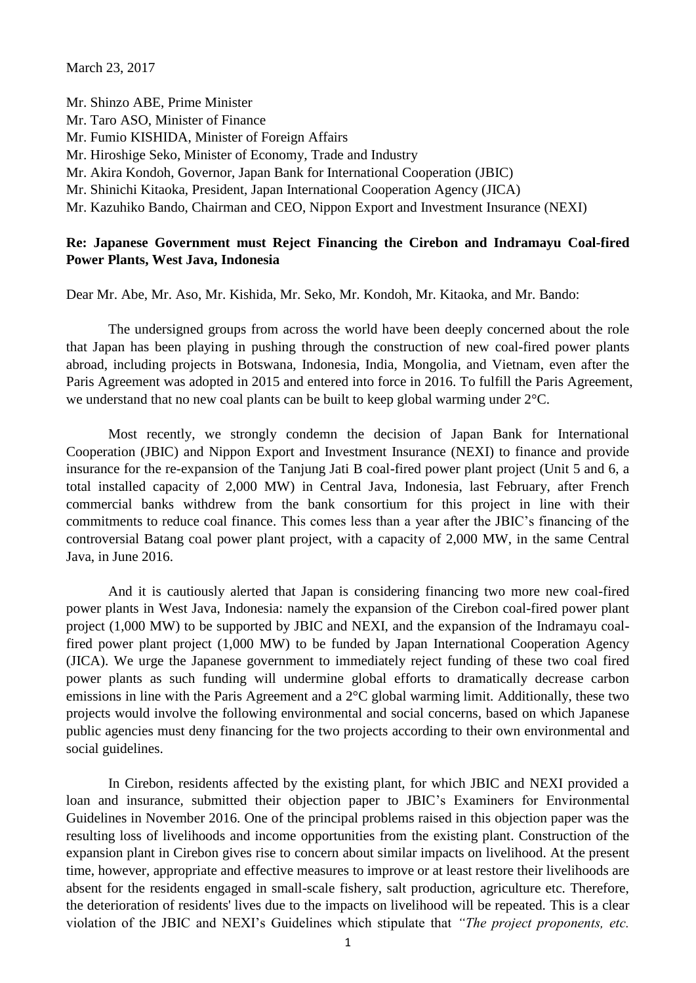March 23, 2017

Mr. Shinzo ABE, Prime Minister Mr. Taro ASO, Minister of Finance Mr. Fumio KISHIDA, Minister of Foreign Affairs Mr. Hiroshige Seko, Minister of Economy, Trade and Industry Mr. Akira Kondoh, Governor, Japan Bank for International Cooperation (JBIC) Mr. Shinichi Kitaoka, President, Japan International Cooperation Agency (JICA) Mr. Kazuhiko Bando, Chairman and CEO, Nippon Export and Investment Insurance (NEXI)

#### **Re: Japanese Government must Reject Financing the Cirebon and Indramayu Coal-fired Power Plants, West Java, Indonesia**

Dear Mr. Abe, Mr. Aso, Mr. Kishida, Mr. Seko, Mr. Kondoh, Mr. Kitaoka, and Mr. Bando:

The undersigned groups from across the world have been deeply concerned about the role that Japan has been playing in pushing through the construction of new coal-fired power plants abroad, including projects in Botswana, Indonesia, India, Mongolia, and Vietnam, even after the Paris Agreement was adopted in 2015 and entered into force in 2016. To fulfill the Paris Agreement, we understand that no new coal plants can be built to keep global warming under 2°C.

Most recently, we strongly condemn the decision of Japan Bank for International Cooperation (JBIC) and Nippon Export and Investment Insurance (NEXI) to finance and provide insurance for the re-expansion of the Tanjung Jati B coal-fired power plant project (Unit 5 and 6, a total installed capacity of 2,000 MW) in Central Java, Indonesia, last February, after French commercial banks withdrew from the bank consortium for this project in line with their commitments to reduce coal finance. This comes less than a year after the JBIC's financing of the controversial Batang coal power plant project, with a capacity of 2,000 MW, in the same Central Java, in June 2016.

And it is cautiously alerted that Japan is considering financing two more new coal-fired power plants in West Java, Indonesia: namely the expansion of the Cirebon coal-fired power plant project (1,000 MW) to be supported by JBIC and NEXI, and the expansion of the Indramayu coalfired power plant project (1,000 MW) to be funded by Japan International Cooperation Agency (JICA). We urge the Japanese government to immediately reject funding of these two coal fired power plants as such funding will undermine global efforts to dramatically decrease carbon emissions in line with the Paris Agreement and a 2°C global warming limit. Additionally, these two projects would involve the following environmental and social concerns, based on which Japanese public agencies must deny financing for the two projects according to their own environmental and social guidelines.

In Cirebon, residents affected by the existing plant, for which JBIC and NEXI provided a loan and insurance, submitted their objection paper to JBIC's Examiners for Environmental Guidelines in November 2016. One of the principal problems raised in this objection paper was the resulting loss of livelihoods and income opportunities from the existing plant. Construction of the expansion plant in Cirebon gives rise to concern about similar impacts on livelihood. At the present time, however, appropriate and effective measures to improve or at least restore their livelihoods are absent for the residents engaged in small-scale fishery, salt production, agriculture etc. Therefore, the deterioration of residents' lives due to the impacts on livelihood will be repeated. This is a clear violation of the JBIC and NEXI's Guidelines which stipulate that *"The project proponents, etc.*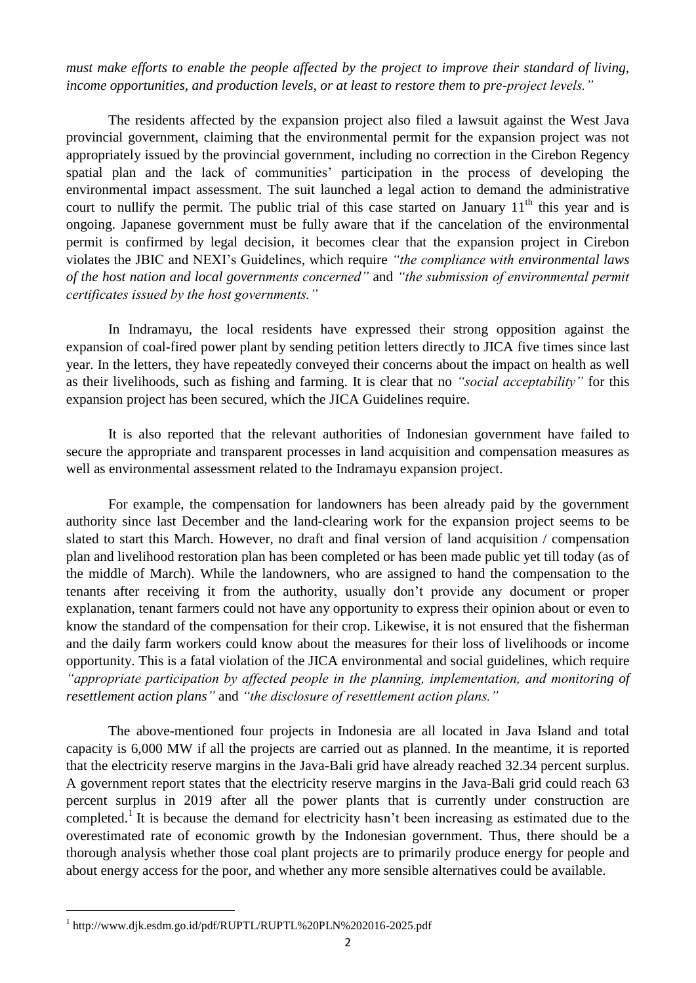*must make efforts to enable the people affected by the project to improve their standard of living, income opportunities, and production levels, or at least to restore them to pre-project levels."*

The residents affected by the expansion project also filed a lawsuit against the West Java provincial government, claiming that the environmental permit for the expansion project was not appropriately issued by the provincial government, including no correction in the Cirebon Regency spatial plan and the lack of communities' participation in the process of developing the environmental impact assessment. The suit launched a legal action to demand the administrative court to nullify the permit. The public trial of this case started on January  $11<sup>th</sup>$  this year and is ongoing. Japanese government must be fully aware that if the cancelation of the environmental permit is confirmed by legal decision, it becomes clear that the expansion project in Cirebon violates the JBIC and NEXI's Guidelines, which require *"the compliance with environmental laws of the host nation and local governments concerned"* and *"the submission of environmental permit certificates issued by the host governments."*

In Indramayu, the local residents have expressed their strong opposition against the expansion of coal-fired power plant by sending petition letters directly to JICA five times since last year. In the letters, they have repeatedly conveyed their concerns about the impact on health as well as their livelihoods, such as fishing and farming. It is clear that no *"social acceptability"* for this expansion project has been secured, which the JICA Guidelines require.

It is also reported that the relevant authorities of Indonesian government have failed to secure the appropriate and transparent processes in land acquisition and compensation measures as well as environmental assessment related to the Indramayu expansion project.

For example, the compensation for landowners has been already paid by the government authority since last December and the land-clearing work for the expansion project seems to be slated to start this March. However, no draft and final version of land acquisition / compensation plan and livelihood restoration plan has been completed or has been made public yet till today (as of the middle of March). While the landowners, who are assigned to hand the compensation to the tenants after receiving it from the authority, usually don't provide any document or proper explanation, tenant farmers could not have any opportunity to express their opinion about or even to know the standard of the compensation for their crop. Likewise, it is not ensured that the fisherman and the daily farm workers could know about the measures for their loss of livelihoods or income opportunity. This is a fatal violation of the JICA environmental and social guidelines, which require *"appropriate participation by affected people in the planning, implementation, and monitoring of resettlement action plans"* and *"the disclosure of resettlement action plans."*

The above-mentioned four projects in Indonesia are all located in Java Island and total capacity is 6,000 MW if all the projects are carried out as planned. In the meantime, it is reported that the electricity reserve margins in the Java-Bali grid have already reached 32.34 percent surplus. A government report states that the electricity reserve margins in the Java-Bali grid could reach 63 percent surplus in 2019 after all the power plants that is currently under construction are completed.<sup>1</sup> It is because the demand for electricity hasn't been increasing as estimated due to the overestimated rate of economic growth by the Indonesian government. Thus, there should be a thorough analysis whether those coal plant projects are to primarily produce energy for people and about energy access for the poor, and whether any more sensible alternatives could be available.

1

<sup>1</sup> http://www.djk.esdm.go.id/pdf/RUPTL/RUPTL%20PLN%202016-2025.pdf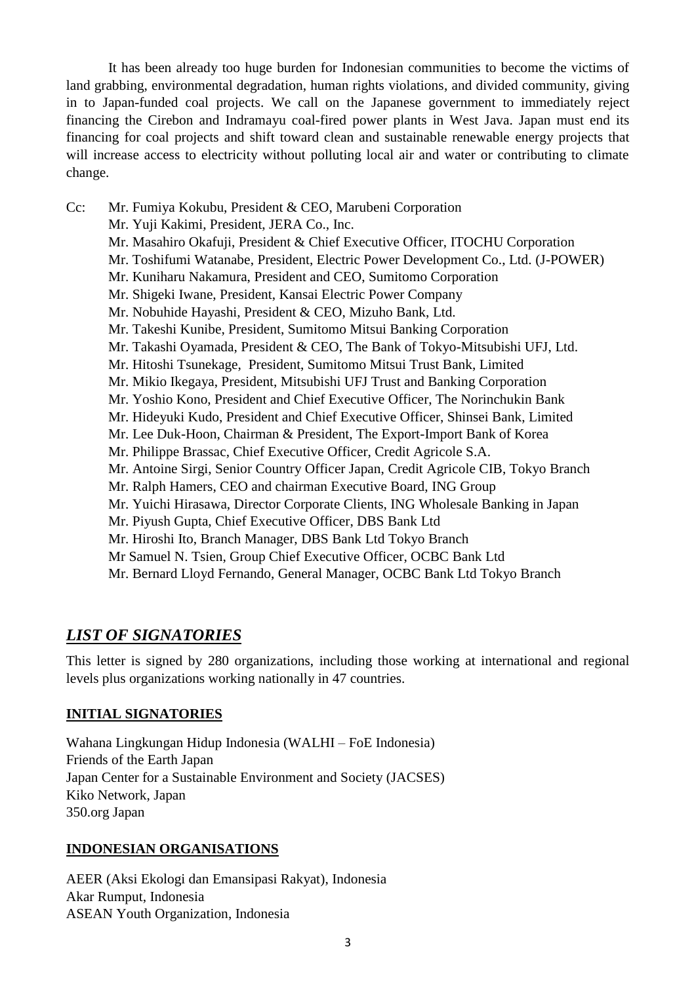It has been already too huge burden for Indonesian communities to become the victims of land grabbing, environmental degradation, human rights violations, and divided community, giving in to Japan-funded coal projects. We call on the Japanese government to immediately reject financing the Cirebon and Indramayu coal-fired power plants in West Java. Japan must end its financing for coal projects and shift toward clean and sustainable renewable energy projects that will increase access to electricity without polluting local air and water or contributing to climate change.

Cc: Mr. Fumiya Kokubu, President & CEO, Marubeni Corporation Mr. Yuji Kakimi, President, JERA Co., Inc. Mr. Masahiro Okafuji, President & Chief Executive Officer, ITOCHU Corporation Mr. Toshifumi Watanabe, President, Electric Power Development Co., Ltd. (J-POWER) Mr. Kuniharu Nakamura, President and CEO, Sumitomo Corporation Mr. Shigeki Iwane, President, Kansai Electric Power Company Mr. Nobuhide Hayashi, President & CEO, Mizuho Bank, Ltd. Mr. Takeshi Kunibe, President, Sumitomo Mitsui Banking Corporation Mr. Takashi Oyamada, President & CEO, The Bank of Tokyo-Mitsubishi UFJ, Ltd. Mr. Hitoshi Tsunekage, President, Sumitomo Mitsui Trust Bank, Limited Mr. Mikio Ikegaya, President, Mitsubishi UFJ Trust and Banking Corporation Mr. Yoshio Kono, President and Chief Executive Officer, The Norinchukin Bank Mr. Hideyuki Kudo, President and Chief Executive Officer, Shinsei Bank, Limited Mr. Lee Duk-Hoon, Chairman & President, The Export-Import Bank of Korea Mr. Philippe Brassac, Chief Executive Officer, Credit Agricole S.A. Mr. Antoine Sirgi, Senior Country Officer Japan, Credit Agricole CIB, Tokyo Branch Mr. Ralph Hamers, CEO and chairman Executive Board, ING Group Mr. Yuichi Hirasawa, Director Corporate Clients, ING Wholesale Banking in Japan Mr. Piyush Gupta, Chief Executive Officer, DBS Bank Ltd Mr. Hiroshi Ito, Branch Manager, DBS Bank Ltd Tokyo Branch Mr Samuel N. Tsien, Group Chief Executive Officer, OCBC Bank Ltd Mr. Bernard Lloyd Fernando, General Manager, OCBC Bank Ltd Tokyo Branch

# *LIST OF SIGNATORIES*

This letter is signed by 280 organizations, including those working at international and regional levels plus organizations working nationally in 47 countries.

## **INITIAL SIGNATORIES**

Wahana Lingkungan Hidup Indonesia (WALHI – FoE Indonesia) Friends of the Earth Japan Japan Center for a Sustainable Environment and Society (JACSES) Kiko Network, Japan 350.org Japan

## **INDONESIAN ORGANISATIONS**

AEER (Aksi Ekologi dan Emansipasi Rakyat), Indonesia Akar Rumput, Indonesia ASEAN Youth Organization, Indonesia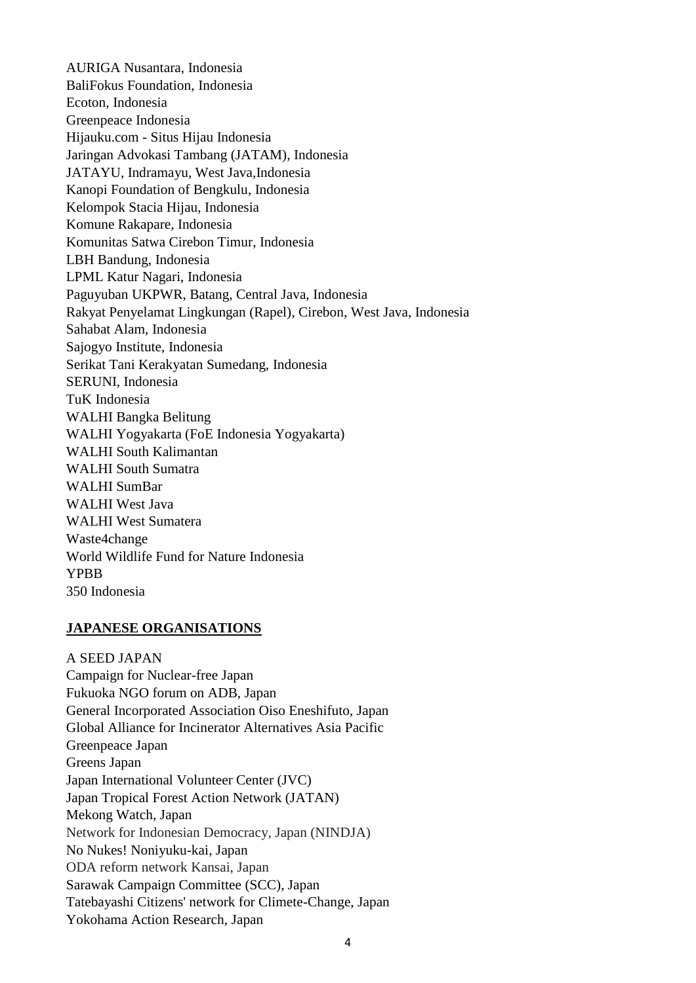AURIGA Nusantara, Indonesia BaliFokus Foundation, Indonesia Ecoton, Indonesia Greenpeace Indonesia Hijauku.com - Situs Hijau Indonesia Jaringan Advokasi Tambang (JATAM), Indonesia JATAYU, Indramayu, West Java,Indonesia Kanopi Foundation of Bengkulu, Indonesia Kelompok Stacia Hijau, Indonesia Komune Rakapare, Indonesia Komunitas Satwa Cirebon Timur, Indonesia LBH Bandung, Indonesia LPML Katur Nagari, Indonesia Paguyuban UKPWR, Batang, Central Java, Indonesia Rakyat Penyelamat Lingkungan (Rapel), Cirebon, West Java, Indonesia Sahabat Alam, Indonesia Sajogyo Institute, Indonesia Serikat Tani Kerakyatan Sumedang, Indonesia SERUNI, Indonesia TuK Indonesia WALHI Bangka Belitung WALHI Yogyakarta (FoE Indonesia Yogyakarta) WALHI South Kalimantan WALHI South Sumatra WALHI SumBar WALHI West Java WALHI West Sumatera Waste4change World Wildlife Fund for Nature Indonesia YPBB 350 Indonesia

#### **JAPANESE ORGANISATIONS**

A SEED JAPAN Campaign for Nuclear-free Japan Fukuoka NGO forum on ADB, Japan General Incorporated Association Oiso Eneshifuto, Japan Global Alliance for Incinerator Alternatives Asia Pacific Greenpeace Japan Greens Japan Japan International Volunteer Center (JVC) Japan Tropical Forest Action Network (JATAN) Mekong Watch, Japan Network for Indonesian Democracy, Japan (NINDJA) No Nukes! Noniyuku-kai, Japan ODA reform network Kansai, Japan Sarawak Campaign Committee (SCC), Japan Tatebayashi Citizens' network for Climete-Change, Japan Yokohama Action Research, Japan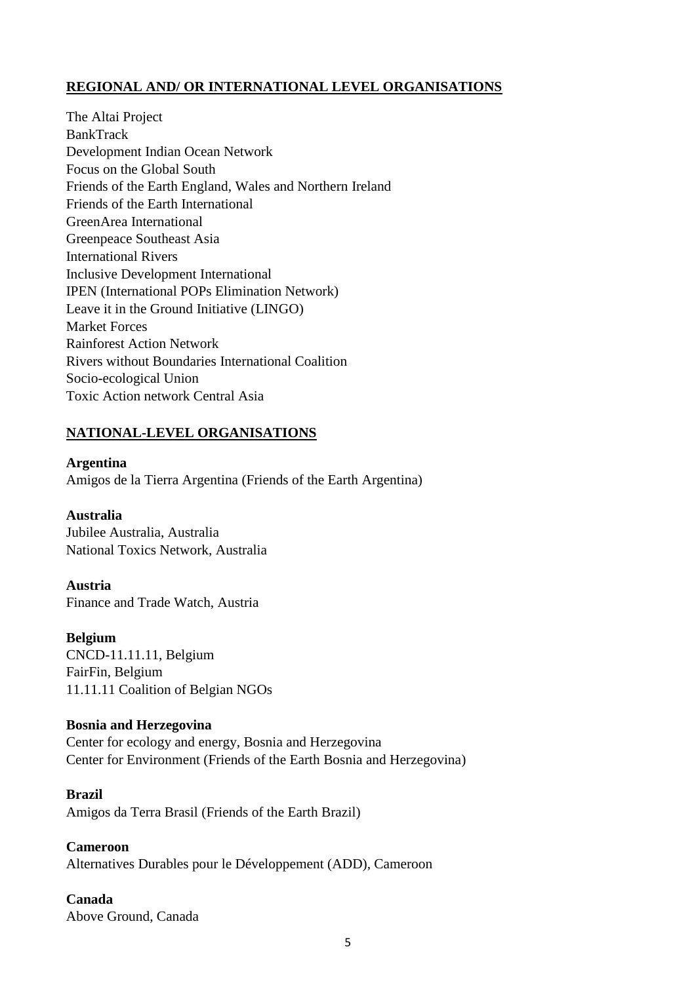## **REGIONAL AND/ OR INTERNATIONAL LEVEL ORGANISATIONS**

The Altai Project BankTrack Development Indian Ocean Network Focus on the Global South Friends of the Earth England, Wales and Northern Ireland Friends of the Earth International GreenArea International Greenpeace Southeast Asia International Rivers Inclusive Development International IPEN (International POPs Elimination Network) Leave it in the Ground Initiative (LINGO) Market Forces Rainforest Action Network Rivers without Boundaries International Coalition Socio-ecological Union Toxic Action network Central Asia

## **NATIONAL-LEVEL ORGANISATIONS**

**Argentina**

Amigos de la Tierra Argentina (Friends of the Earth Argentina)

### **Australia**

Jubilee Australia, Australia National Toxics Network, Australia

**Austria** Finance and Trade Watch, Austria

**Belgium** CNCD-11.11.11, Belgium FairFin, Belgium 11.11.11 Coalition of Belgian NGOs

### **Bosnia and Herzegovina**

Center for ecology and energy, Bosnia and Herzegovina Center for Environment (Friends of the Earth Bosnia and Herzegovina)

### **Brazil**

Amigos da Terra Brasil (Friends of the Earth Brazil)

**Cameroon** Alternatives Durables pour le Développement (ADD), Cameroon

# **Canada**

Above Ground, Canada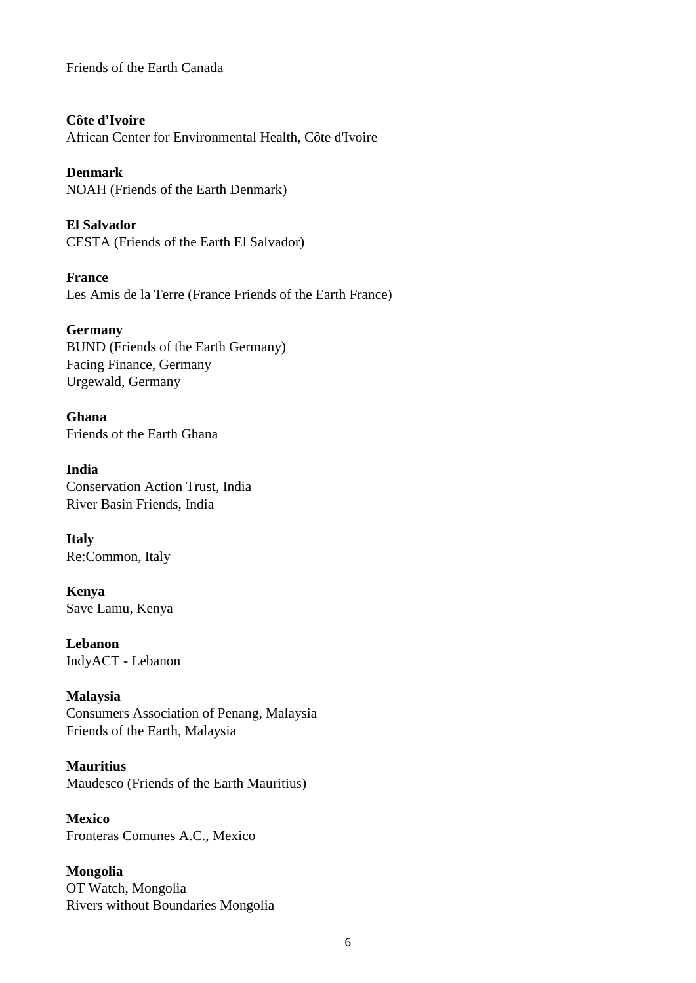Friends of the Earth Canada

**Côte d'Ivoire**

African Center for Environmental Health, Côte d'Ivoire

**Denmark** NOAH (Friends of the Earth Denmark)

**El Salvador** CESTA (Friends of the Earth El Salvador)

**France** Les Amis de la Terre (France Friends of the Earth France)

**Germany** BUND (Friends of the Earth Germany) Facing Finance, Germany Urgewald, Germany

**Ghana** Friends of the Earth Ghana

**India** Conservation Action Trust, India River Basin Friends, India

**Italy** Re:Common, Italy

**Kenya** Save Lamu, Kenya

**Lebanon** IndyACT - Lebanon

**Malaysia** Consumers Association of Penang, Malaysia Friends of the Earth, Malaysia

**Mauritius** Maudesco (Friends of the Earth Mauritius)

**Mexico** Fronteras Comunes A.C., Mexico

**Mongolia** OT Watch, Mongolia Rivers without Boundaries Mongolia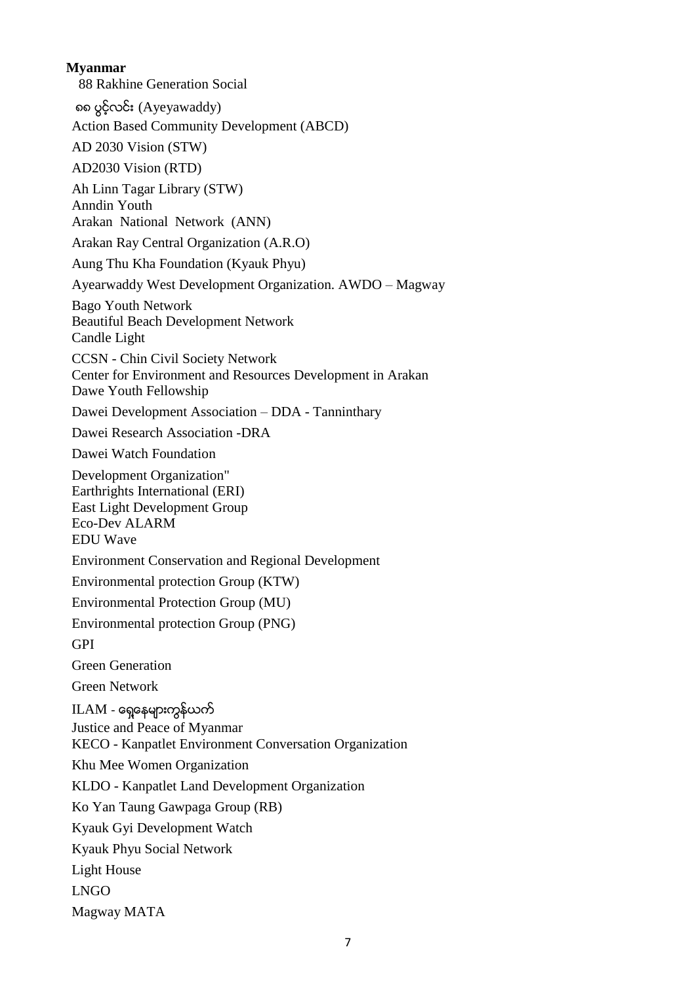**Myanmar** 88 Rakhine Generation Social ၈၈ ပြင့္လင္း (Ayeyawaddy) Action Based Community Development (ABCD) AD 2030 Vision (STW) AD2030 Vision (RTD) Ah Linn Tagar Library (STW) Anndin Youth Arakan National Network (ANN) Arakan Ray Central Organization (A.R.O) Aung Thu Kha Foundation (Kyauk Phyu) Ayearwaddy West Development Organization. AWDO – Magway Bago Youth Network Beautiful Beach Development Network Candle Light CCSN - Chin Civil Society Network Center for Environment and Resources Development in Arakan Dawe Youth Fellowship Dawei Development Association – DDA - Tanninthary Dawei Research Association -DRA Dawei Watch Foundation Development Organization" Earthrights International (ERI) East Light Development Group Eco-Dev ALARM EDU Wave Environment Conservation and Regional Development Environmental protection Group (KTW) Environmental Protection Group (MU) Environmental protection Group (PNG) GPI Green Generation Green Network  $ILAM$  - ရှေ့နေများကွန်ယက် Justice and Peace of Myanmar KECO - Kanpatlet Environment Conversation Organization Khu Mee Women Organization KLDO - Kanpatlet Land Development Organization Ko Yan Taung Gawpaga Group (RB) Kyauk Gyi Development Watch Kyauk Phyu Social Network Light House LNGO Magway MATA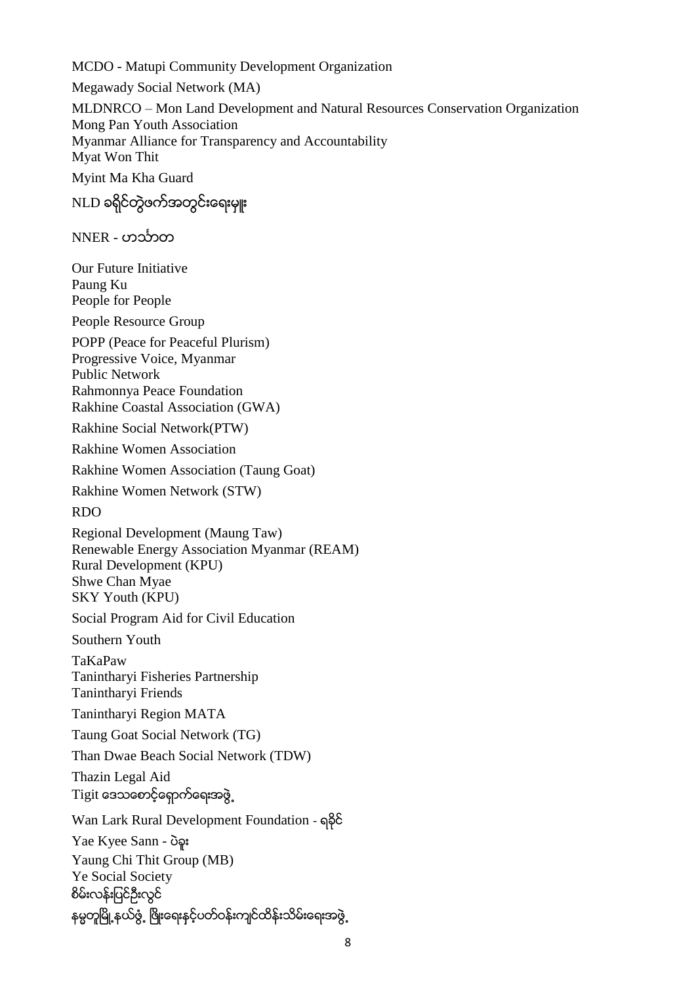MCDO - Matupi Community Development Organization

Megawady Social Network (MA)

MLDNRCO – Mon Land Development and Natural Resources Conservation Organization Mong Pan Youth Association Myanmar Alliance for Transparency and Accountability Myat Won Thit

Myint Ma Kha Guard

NLD ခရိုင်တွဲဖက်အတွင်းရေးမ<del>ူ</del>း

NNER - ဟင်္သာတ

Our Future Initiative Paung Ku People for People

People Resource Group

POPP (Peace for Peaceful Plurism) Progressive Voice, Myanmar Public Network Rahmonnya Peace Foundation Rakhine Coastal Association (GWA)

Rakhine Social Network(PTW)

Rakhine Women Association

Rakhine Women Association (Taung Goat)

Rakhine Women Network (STW)

RDO

Regional Development (Maung Taw) Renewable Energy Association Myanmar (REAM) Rural Development (KPU) Shwe Chan Myae SKY Youth (KPU)

Social Program Aid for Civil Education

Southern Youth

TaKaPaw Tanintharyi Fisheries Partnership Tanintharyi Friends

Tanintharyi Region MATA

Taung Goat Social Network (TG)

Than Dwae Beach Social Network (TDW)

Thazin Legal Aid Tigit ေဒသေစာင့္ေရွာက္ေရးအဖြဲ႕

Wan Lark Rural Development Foundation - ရခိုင္

Yae Kyee Sann - ပဲခူး Yaung Chi Thit Group (MB) Ye Social Society စိမ္းလန္းျပင္ဦးလြင္ နမ္မတူမြို့နယ်ဖွံ့ ဖြိုးေရးနင့်ပတ်ဝန်းကျင်ထိန်းသိမ်းေရးအဖွဲ့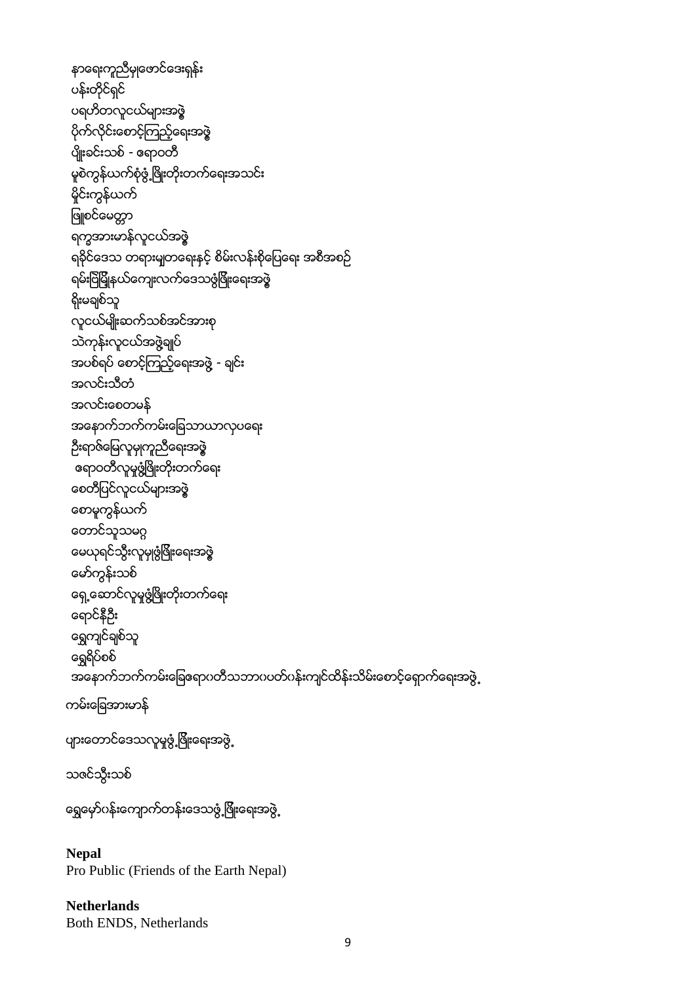```
နာေရးကူညီမွဳေဖာင္ေဒးရွန္း
ပန်းတိုင်ရှင်
ပရဟိတလူငယ်များအဖွဲ့
ပုိက္လုိင္းေစာင့္ၾကည့္ေရးအဖြဲ့
ပ်ိဳးခင္းသစ္- ဧရာဝတီ
 မူစဲကွန်ယက်စုံဖွံ့ဖြိုးတိုးတက်ရေးအသင်း
 မိုင်းကွန်ယက်
ဖြူစင်မေတ္တာ
 ရကၡအားမာန္လူငယ္အဖြဲ့
 ရခိုင်ဒေသ တရားမျတရေးနင့် စိမ်းလန်းစိုပြေရေး အစီအစဉ်
 ရမ်းဗြဲမြိုနယ်ကျေးလက်ဒေသဖွံဖြိုးရေးအဖွဲ
 ရိုးမချစ်သူ
 လူငယ္မ်ဳိးဆက္သစ္အင္အားစု
 သဲကုန်းလူငယ်အဖွဲ့ချုပ်
 အပစ်ရပ် စောင့်ကြည့်ရေးအဖွဲ့ - ချင်း
 အလင္းသီတံ
 အလင္းေစတမန္
 အေနာက္ဘက္ကမ္းေျခသာယာလွပေရး
ဦးရာဇ်မြေလူမှုကူညီရေးအဖွဲ့
 ဧရာဝတီလူမႈဖံြ႔ၿဖိဳးတိုးတက္ေရး
 ေစတီျပင္လူငယ္မ်ားအဖြဲ့
ေစာမူကြန္ယက္
တောင်သူသမဂ္ဂ
ေမယုရင္သြီးလူမွဳဖြံျဖိဳးေရးအဖြဲ့
 ေမာ္ကြန္းသစ္
ေရွ႕ေဆာင္လူမႈဖြ႔ံၿဖိဳးတုိးတက္ေရး
 ေရာင္နီဦး
 ရွှေကျင်ချစ်သူ
ရွေရိပ်စစ်
 အနောက်ဘက်ကမ်းခြေဧရာပတီသဘာပပတ်ပန်းကျင်ထိန်းသိမ်းစောင့်ရှောက်ရေးအဖွဲ့
ကမ္းေျခအားမာန္
ပျားတောင်ဒေသလူမူဖွံ့ဖြိုးေရးအဖွဲ့
သဇင္သြီးသစ္
နေရြောက်လန်းေသာက်ာက်ကြီးေရးအဖွဲ့
```

```
Nepal
Pro Public (Friends of the Earth Nepal)
```
**Netherlands** Both ENDS, Netherlands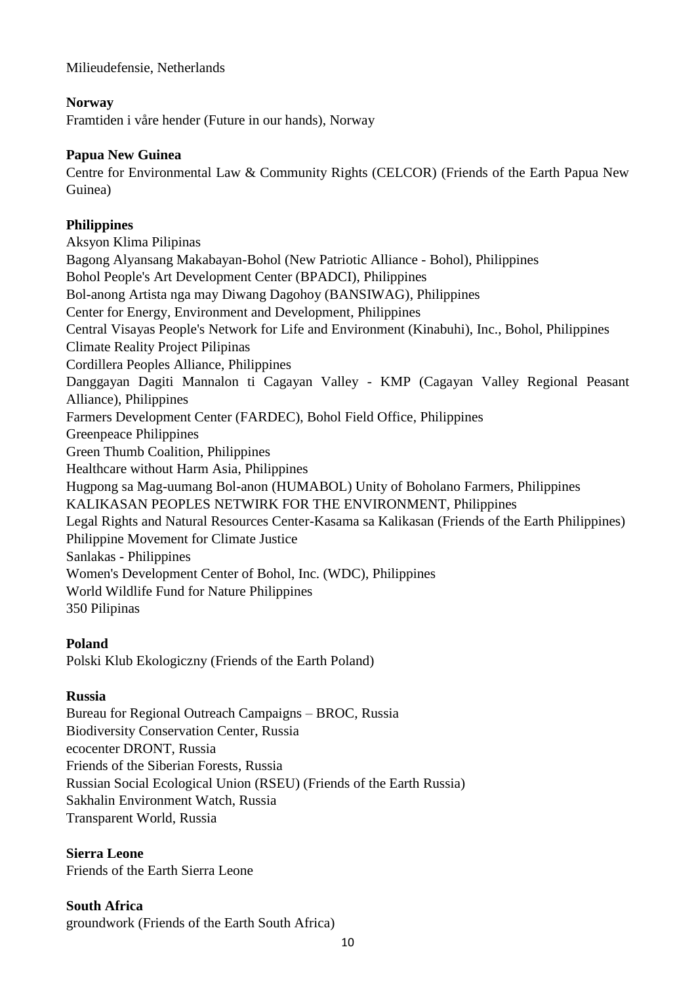Milieudefensie, Netherlands

#### **Norway**

Framtiden i våre hender (Future in our hands), Norway

#### **Papua New Guinea**

Centre for Environmental Law & Community Rights (CELCOR) (Friends of the Earth Papua New Guinea)

### **Philippines**

Aksyon Klima Pilipinas Bagong Alyansang Makabayan-Bohol (New Patriotic Alliance - Bohol), Philippines Bohol People's Art Development Center (BPADCI), Philippines Bol-anong Artista nga may Diwang Dagohoy (BANSIWAG), Philippines Center for Energy, Environment and Development, Philippines Central Visayas People's Network for Life and Environment (Kinabuhi), Inc., Bohol, Philippines Climate Reality Project Pilipinas Cordillera Peoples Alliance, Philippines Danggayan Dagiti Mannalon ti Cagayan Valley - KMP (Cagayan Valley Regional Peasant Alliance), Philippines Farmers Development Center (FARDEC), Bohol Field Office, Philippines Greenpeace Philippines Green Thumb Coalition, Philippines Healthcare without Harm Asia, Philippines Hugpong sa Mag-uumang Bol-anon (HUMABOL) Unity of Boholano Farmers, Philippines KALIKASAN PEOPLES NETWIRK FOR THE ENVIRONMENT, Philippines Legal Rights and Natural Resources Center-Kasama sa Kalikasan (Friends of the Earth Philippines) Philippine Movement for Climate Justice Sanlakas - Philippines Women's Development Center of Bohol, Inc. (WDC), Philippines World Wildlife Fund for Nature Philippines 350 Pilipinas

### **Poland**

Polski Klub Ekologiczny (Friends of the Earth Poland)

### **Russia**

Bureau for Regional Outreach Campaigns – BROC, Russia Biodiversity Conservation Center, Russia ecocenter DRONT, Russia Friends of the Siberian Forests, Russia Russian Social Ecological Union (RSEU) (Friends of the Earth Russia) Sakhalin Environment Watch, Russia Transparent World, Russia

**Sierra Leone** Friends of the Earth Sierra Leone

**South Africa** groundwork (Friends of the Earth South Africa)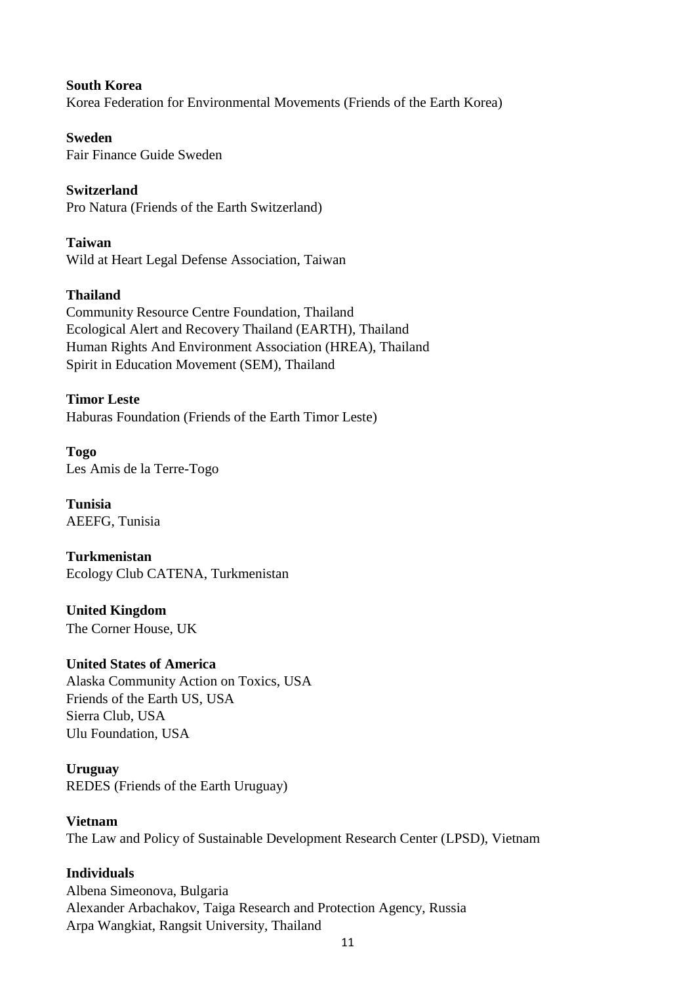**South Korea** Korea Federation for Environmental Movements (Friends of the Earth Korea)

**Sweden** Fair Finance Guide Sweden

**Switzerland** Pro Natura (Friends of the Earth Switzerland)

**Taiwan** Wild at Heart Legal Defense Association, Taiwan

### **Thailand**

Community Resource Centre Foundation, Thailand Ecological Alert and Recovery Thailand (EARTH), Thailand Human Rights And Environment Association (HREA), Thailand Spirit in Education Movement (SEM), Thailand

**Timor Leste** Haburas Foundation (Friends of the Earth Timor Leste)

**Togo** Les Amis de la Terre-Togo

**Tunisia** AEEFG, Tunisia

**Turkmenistan** Ecology Club CATENA, Turkmenistan

**United Kingdom** The Corner House, UK

### **United States of America**

Alaska Community Action on Toxics, USA Friends of the Earth US, USA Sierra Club, USA Ulu Foundation, USA

**Uruguay**

REDES (Friends of the Earth Uruguay)

#### **Vietnam**

The Law and Policy of Sustainable Development Research Center (LPSD), Vietnam

#### **Individuals**

Albena Simeonova, Bulgaria Alexander Arbachakov, Taiga Research and Protection Agency, Russia Arpa Wangkiat, Rangsit University, Thailand